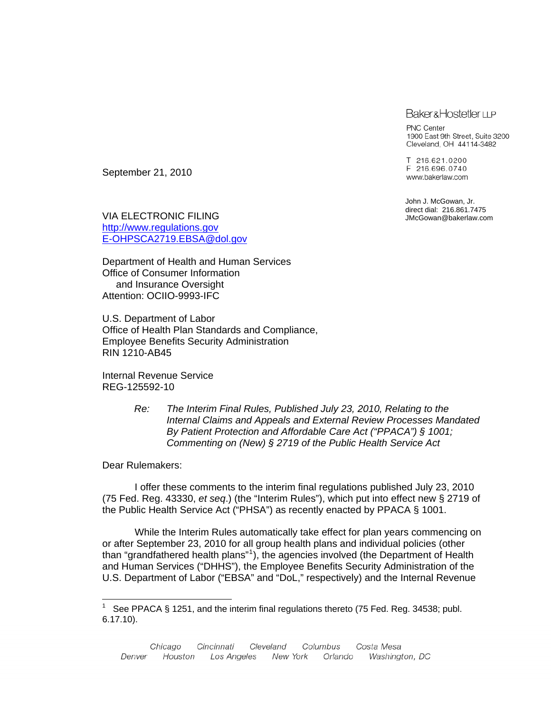### **Baker&Hostetler LLP**

PNC Center 1900 East 9th Street, Suite 3200 Cleveland, OH 44114-3482

T 216.621.0200 F 216.696.0740 www.bakerlaw.com

John J. McGowan, Jr. direct dial: 216.861.7475 JMcGowan@bakerlaw.com

September 21, 2010

VIA ELECTRONIC FILING [http://www.regulations.gov](http://www.regulations.gov/) [E-OHPSCA2719.EBSA@dol.gov](mailto:E-OHPSCA2719.EBSA@dol.gov)

Department of Health and Human Services Office of Consumer Information and Insurance Oversight Attention: OCIIO-9993-IFC

U.S. Department of Labor Office of Health Plan Standards and Compliance, Employee Benefits Security Administration RIN 1210-AB45

Internal Revenue Service REG-125592-10

> *Re: The Interim Final Rules, Published July 23, 2010, Relating to the Internal Claims and Appeals and External Review Processes Mandated By Patient Protection and Affordable Care Act ("PPACA") § 1001; Commenting on (New) § 2719 of the Public Health Service Act*

Dear Rulemakers:

 $\overline{a}$ 

 I offer these comments to the interim final regulations published July 23, 2010 (75 Fed. Reg. 43330, *et seq*.) (the "Interim Rules"), which put into effect new § 2719 of the Public Health Service Act ("PHSA") as recently enacted by PPACA § 1001.

 While the Interim Rules automatically take effect for plan years commencing on or after September 23, 2010 for all group health plans and individual policies (other than "grandfathered health plans"[1](#page-0-0) ), the agencies involved (the Department of Health and Human Services ("DHHS"), the Employee Benefits Security Administration of the U.S. Department of Labor ("EBSA" and "DoL," respectively) and the Internal Revenue

<span id="page-0-0"></span><sup>1</sup> See PPACA § 1251, and the interim final regulations thereto (75 Fed. Reg. 34538; publ. 6.17.10).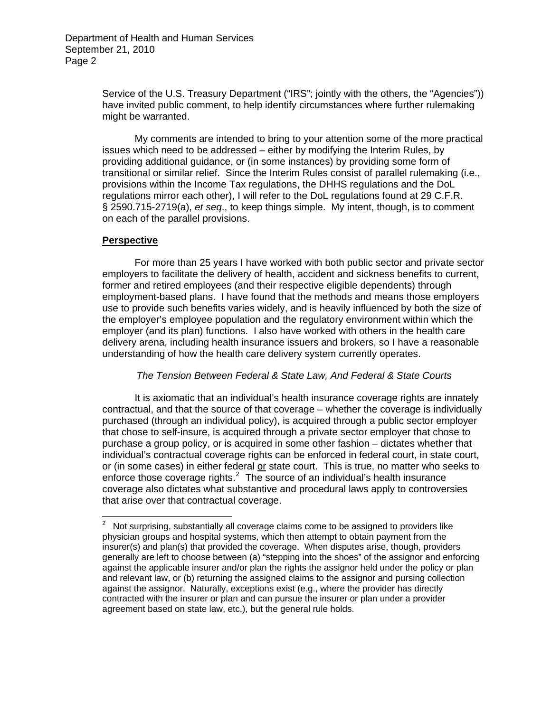Service of the U.S. Treasury Department ("IRS"; jointly with the others, the "Agencies")) have invited public comment, to help identify circumstances where further rulemaking might be warranted.

 My comments are intended to bring to your attention some of the more practical issues which need to be addressed – either by modifying the Interim Rules, by providing additional guidance, or (in some instances) by providing some form of transitional or similar relief. Since the Interim Rules consist of parallel rulemaking (i.e., provisions within the Income Tax regulations, the DHHS regulations and the DoL regulations mirror each other), I will refer to the DoL regulations found at 29 C.F.R. § 2590.715-2719(a), *et seq*., to keep things simple. My intent, though, is to comment on each of the parallel provisions.

## **Perspective**

 For more than 25 years I have worked with both public sector and private sector employers to facilitate the delivery of health, accident and sickness benefits to current, former and retired employees (and their respective eligible dependents) through employment-based plans. I have found that the methods and means those employers use to provide such benefits varies widely, and is heavily influenced by both the size of the employer's employee population and the regulatory environment within which the employer (and its plan) functions. I also have worked with others in the health care delivery arena, including health insurance issuers and brokers, so I have a reasonable understanding of how the health care delivery system currently operates.

## *The Tension Between Federal & State Law, And Federal & State Courts*

 It is axiomatic that an individual's health insurance coverage rights are innately contractual, and that the source of that coverage – whether the coverage is individually purchased (through an individual policy), is acquired through a public sector employer that chose to self-insure, is acquired through a private sector employer that chose to purchase a group policy, or is acquired in some other fashion – dictates whether that individual's contractual coverage rights can be enforced in federal court, in state court, or (in some cases) in either federal or state court. This is true, no matter who seeks to enforce those coverage rights. $^2$  $^2$  The source of an individual's health insurance coverage also dictates what substantive and procedural laws apply to controversies that arise over that contractual coverage.

<span id="page-1-0"></span><sup>&</sup>lt;u>2</u><br><sup>2</sup> Not surprising, substantially all coverage claims come to be assigned to providers like physician groups and hospital systems, which then attempt to obtain payment from the insurer(s) and plan(s) that provided the coverage. When disputes arise, though, providers generally are left to choose between (a) "stepping into the shoes" of the assignor and enforcing against the applicable insurer and/or plan the rights the assignor held under the policy or plan and relevant law, or (b) returning the assigned claims to the assignor and pursing collection against the assignor. Naturally, exceptions exist (e.g., where the provider has directly contracted with the insurer or plan and can pursue the insurer or plan under a provider agreement based on state law, etc.), but the general rule holds.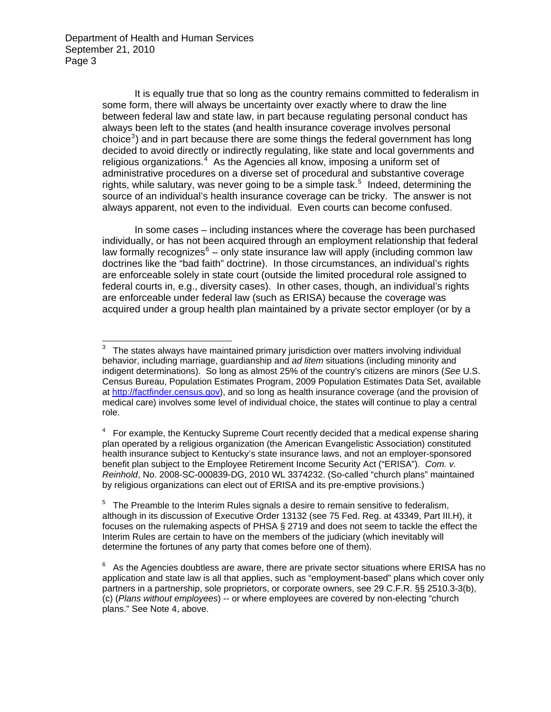It is equally true that so long as the country remains committed to federalism in some form, there will always be uncertainty over exactly where to draw the line between federal law and state law, in part because regulating personal conduct has always been left to the states (and health insurance coverage involves personal choice<sup>[3](#page-2-0)</sup>) and in part because there are some things the federal government has long decided to avoid directly or indirectly regulating, like state and local governments and religious organizations. $4$  As the Agencies all know, imposing a uniform set of administrative procedures on a diverse set of procedural and substantive coverage rights, while salutary, was never going to be a simple task.<sup>[5](#page-2-2)</sup> Indeed, determining the source of an individual's health insurance coverage can be tricky. The answer is not always apparent, not even to the individual. Even courts can become confused.

 In some cases – including instances where the coverage has been purchased individually, or has not been acquired through an employment relationship that federal law formally recognizes $6$  – only state insurance law will apply (including common law doctrines like the "bad faith" doctrine). In those circumstances, an individual's rights are enforceable solely in state court (outside the limited procedural role assigned to federal courts in, e.g., diversity cases). In other cases, though, an individual's rights are enforceable under federal law (such as ERISA) because the coverage was acquired under a group health plan maintained by a private sector employer (or by a

<span id="page-2-0"></span> $3$  The states always have maintained primary jurisdiction over matters involving individual behavior, including marriage, guardianship and *ad litem* situations (including minority and indigent determinations). So long as almost 25% of the country's citizens are minors (*See* U.S. Census Bureau, Population Estimates Program, 2009 Population Estimates Data Set, available at [http://factfinder.census.gov](http://factfinder.census.gov/)), and so long as health insurance coverage (and the provision of medical care) involves some level of individual choice, the states will continue to play a central role.

<span id="page-2-1"></span> $4\;$  For example, the Kentucky Supreme Court recently decided that a medical expense sharing plan operated by a religious organization (the American Evangelistic Association) constituted health insurance subject to Kentucky's state insurance laws, and not an employer-sponsored benefit plan subject to the Employee Retirement Income Security Act ("ERISA"). *Com. v. Reinhold*, No. 2008-SC-000839-DG, 2010 WL 3374232. (So-called "church plans" maintained by religious organizations can elect out of ERISA and its pre-emptive provisions.)

<span id="page-2-2"></span><sup>&</sup>lt;sup>5</sup> The Preamble to the Interim Rules signals a desire to remain sensitive to federalism, although in its discussion of Executive Order 13132 (see 75 Fed. Reg. at 43349, Part III.H), it focuses on the rulemaking aspects of PHSA § 2719 and does not seem to tackle the effect the Interim Rules are certain to have on the members of the judiciary (which inevitably will determine the fortunes of any party that comes before one of them).

<span id="page-2-3"></span> $6$  As the Agencies doubtless are aware, there are private sector situations where ERISA has no application and state law is all that applies, such as "employment-based" plans which cover only partners in a partnership, sole proprietors, or corporate owners, see 29 C.F.R. §§ 2510.3-3(b), (c) (*Plans without employees*) -- or where employees are covered by non-electing "church plans." See Note 4, above.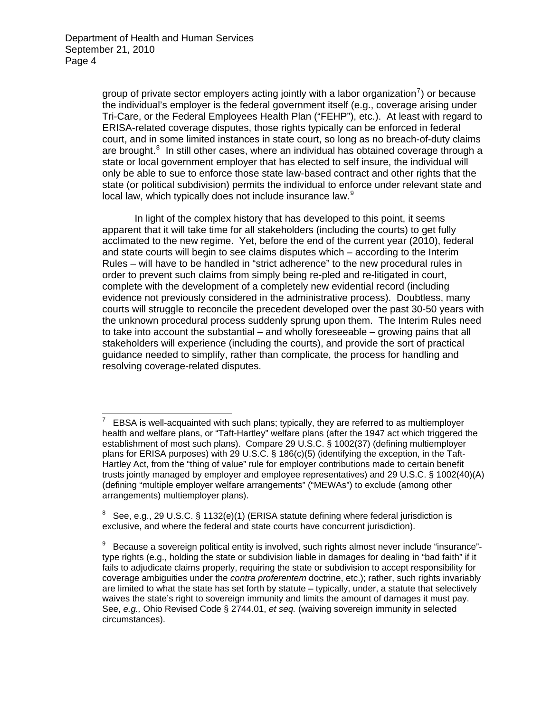group of private sector employers acting jointly with a labor organization<sup>[7](#page-3-0)</sup>) or because the individual's employer is the federal government itself (e.g., coverage arising under Tri-Care, or the Federal Employees Health Plan ("FEHP"), etc.). At least with regard to ERISA-related coverage disputes, those rights typically can be enforced in federal court, and in some limited instances in state court, so long as no breach-of-duty claims are brought.<sup>[8](#page-3-1)</sup> In still other cases, where an individual has obtained coverage through a state or local government employer that has elected to self insure, the individual will only be able to sue to enforce those state law-based contract and other rights that the state (or political subdivision) permits the individual to enforce under relevant state and local law, which typically does not include insurance law.<sup>[9](#page-3-2)</sup>

 In light of the complex history that has developed to this point, it seems apparent that it will take time for all stakeholders (including the courts) to get fully acclimated to the new regime. Yet, before the end of the current year (2010), federal and state courts will begin to see claims disputes which – according to the Interim Rules – will have to be handled in "strict adherence" to the new procedural rules in order to prevent such claims from simply being re-pled and re-litigated in court, complete with the development of a completely new evidential record (including evidence not previously considered in the administrative process). Doubtless, many courts will struggle to reconcile the precedent developed over the past 30-50 years with the unknown procedural process suddenly sprung upon them. The Interim Rules need to take into account the substantial – and wholly foreseeable – growing pains that all stakeholders will experience (including the courts), and provide the sort of practical guidance needed to simplify, rather than complicate, the process for handling and resolving coverage-related disputes.

<span id="page-3-0"></span><sup>7</sup> EBSA is well-acquainted with such plans; typically, they are referred to as multiemployer health and welfare plans, or "Taft-Hartley" welfare plans (after the 1947 act which triggered the establishment of most such plans). Compare 29 U.S.C. § 1002(37) (defining multiemployer plans for ERISA purposes) with 29 U.S.C. § 186(c)(5) (identifying the exception, in the Taft-Hartley Act, from the "thing of value" rule for employer contributions made to certain benefit trusts jointly managed by employer and employee representatives) and 29 U.S.C. § 1002(40)(A) (defining "multiple employer welfare arrangements" ("MEWAs") to exclude (among other arrangements) multiemployer plans).

<span id="page-3-1"></span><sup>8</sup> See, e.g., 29 U.S.C. § 1132(e)(1) (ERISA statute defining where federal jurisdiction is exclusive, and where the federal and state courts have concurrent jurisdiction).

<span id="page-3-2"></span><sup>9</sup> Because a sovereign political entity is involved, such rights almost never include "insurance" type rights (e.g., holding the state or subdivision liable in damages for dealing in "bad faith" if it fails to adjudicate claims properly, requiring the state or subdivision to accept responsibility for coverage ambiguities under the *contra proferentem* doctrine, etc.); rather, such rights invariably are limited to what the state has set forth by statute – typically, under, a statute that selectively waives the state's right to sovereign immunity and limits the amount of damages it must pay. See, *e.g.,* Ohio Revised Code § 2744.01, *et seq.* (waiving sovereign immunity in selected circumstances).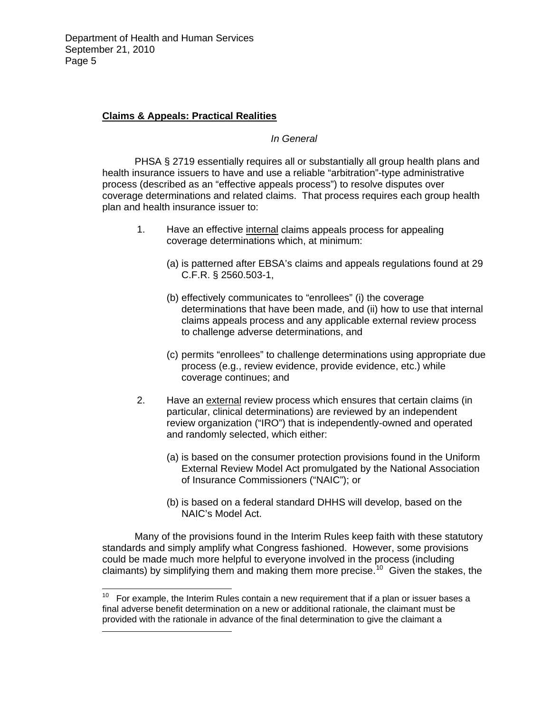$\overline{a}$ 

# **Claims & Appeals: Practical Realities**

*In General* 

 PHSA § 2719 essentially requires all or substantially all group health plans and health insurance issuers to have and use a reliable "arbitration"-type administrative process (described as an "effective appeals process") to resolve disputes over coverage determinations and related claims. That process requires each group health plan and health insurance issuer to:

- 1. Have an effective internal claims appeals process for appealing coverage determinations which, at minimum:
	- (a) is patterned after EBSA's claims and appeals regulations found at 29 C.F.R. § 2560.503-1,
	- (b) effectively communicates to "enrollees" (i) the coverage determinations that have been made, and (ii) how to use that internal claims appeals process and any applicable external review process to challenge adverse determinations, and
	- (c) permits "enrollees" to challenge determinations using appropriate due process (e.g., review evidence, provide evidence, etc.) while coverage continues; and
- 2. Have an external review process which ensures that certain claims (in particular, clinical determinations) are reviewed by an independent review organization ("IRO") that is independently-owned and operated and randomly selected, which either:
	- (a) is based on the consumer protection provisions found in the Uniform External Review Model Act promulgated by the National Association of Insurance Commissioners ("NAIC"); or
	- (b) is based on a federal standard DHHS will develop, based on the NAIC's Model Act.

 Many of the provisions found in the Interim Rules keep faith with these statutory standards and simply amplify what Congress fashioned. However, some provisions could be made much more helpful to everyone involved in the process (including claimants) by simplifying them and making them more precise.<sup>[10](#page-4-0)</sup> Given the stakes, the

<span id="page-4-0"></span>For example, the Interim Rules contain a new requirement that if a plan or issuer bases a final adverse benefit determination on a new or additional rationale, the claimant must be provided with the rationale in advance of the final determination to give the claimant a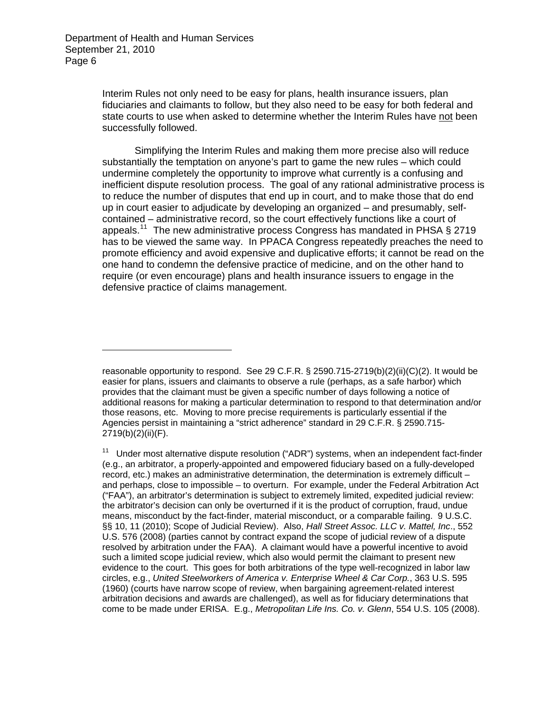$\overline{a}$ 

Interim Rules not only need to be easy for plans, health insurance issuers, plan fiduciaries and claimants to follow, but they also need to be easy for both federal and state courts to use when asked to determine whether the Interim Rules have not been successfully followed.

 Simplifying the Interim Rules and making them more precise also will reduce substantially the temptation on anyone's part to game the new rules – which could undermine completely the opportunity to improve what currently is a confusing and inefficient dispute resolution process. The goal of any rational administrative process is to reduce the number of disputes that end up in court, and to make those that do end up in court easier to adjudicate by developing an organized – and presumably, selfcontained – administrative record, so the court effectively functions like a court of appeals.<sup>[11](#page-5-0)</sup> The new administrative process Congress has mandated in PHSA § 2719 has to be viewed the same way. In PPACA Congress repeatedly preaches the need to promote efficiency and avoid expensive and duplicative efforts; it cannot be read on the one hand to condemn the defensive practice of medicine, and on the other hand to require (or even encourage) plans and health insurance issuers to engage in the defensive practice of claims management.

reasonable opportunity to respond. See 29 C.F.R. § 2590.715-2719(b)(2)(ii)(C)(2). It would be easier for plans, issuers and claimants to observe a rule (perhaps, as a safe harbor) which provides that the claimant must be given a specific number of days following a notice of additional reasons for making a particular determination to respond to that determination and/or those reasons, etc. Moving to more precise requirements is particularly essential if the Agencies persist in maintaining a "strict adherence" standard in 29 C.F.R. § 2590.715- 2719(b)(2)(ii)(F).

<span id="page-5-0"></span> $11$  Under most alternative dispute resolution ("ADR") systems, when an independent fact-finder (e.g., an arbitrator, a properly-appointed and empowered fiduciary based on a fully-developed record, etc.) makes an administrative determination, the determination is extremely difficult – and perhaps, close to impossible – to overturn. For example, under the Federal Arbitration Act ("FAA"), an arbitrator's determination is subject to extremely limited, expedited judicial review: the arbitrator's decision can only be overturned if it is the product of corruption, fraud, undue means, misconduct by the fact-finder, material misconduct, or a comparable failing. 9 U.S.C. §§ 10, 11 (2010); Scope of Judicial Review). Also, *Hall Street Assoc. LLC v. Mattel, Inc*., 552 U.S. 576 (2008) (parties cannot by contract expand the scope of judicial review of a dispute resolved by arbitration under the FAA). A claimant would have a powerful incentive to avoid such a limited scope judicial review, which also would permit the claimant to present new evidence to the court. This goes for both arbitrations of the type well-recognized in labor law circles, e.g., *United Steelworkers of America v. Enterprise Wheel & Car Corp.*, 363 U.S. 595 (1960) (courts have narrow scope of review, when bargaining agreement-related interest arbitration decisions and awards are challenged), as well as for fiduciary determinations that come to be made under ERISA. E.g., *Metropolitan Life Ins. Co. v. Glenn*, 554 U.S. 105 (2008).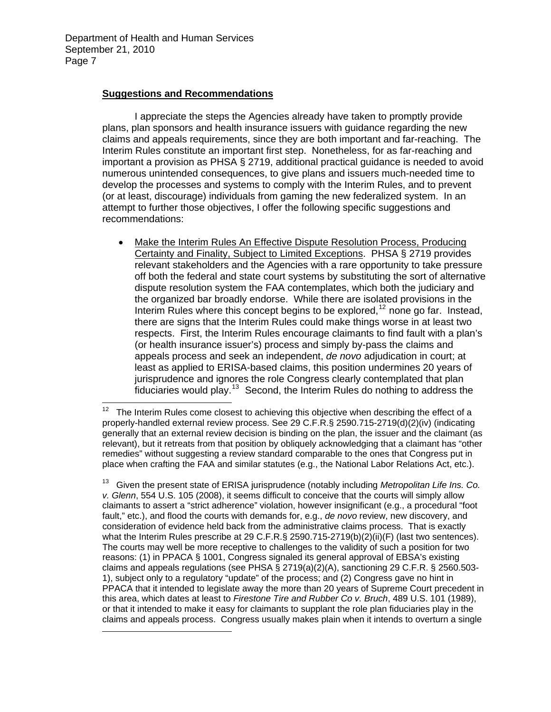$\overline{a}$ 

## **Suggestions and Recommendations**

 I appreciate the steps the Agencies already have taken to promptly provide plans, plan sponsors and health insurance issuers with guidance regarding the new claims and appeals requirements, since they are both important and far-reaching. The Interim Rules constitute an important first step. Nonetheless, for as far-reaching and important a provision as PHSA § 2719, additional practical guidance is needed to avoid numerous unintended consequences, to give plans and issuers much-needed time to develop the processes and systems to comply with the Interim Rules, and to prevent (or at least, discourage) individuals from gaming the new federalized system. In an attempt to further those objectives, I offer the following specific suggestions and recommendations:

 Make the Interim Rules An Effective Dispute Resolution Process, Producing Certainty and Finality, Subject to Limited Exceptions. PHSA § 2719 provides relevant stakeholders and the Agencies with a rare opportunity to take pressure off both the federal and state court systems by substituting the sort of alternative dispute resolution system the FAA contemplates, which both the judiciary and the organized bar broadly endorse. While there are isolated provisions in the Interim Rules where this concept begins to be explored,  $12$  none go far. Instead, there are signs that the Interim Rules could make things worse in at least two respects. First, the Interim Rules encourage claimants to find fault with a plan's (or health insurance issuer's) process and simply by-pass the claims and appeals process and seek an independent, *de novo* adjudication in court; at least as applied to ERISA-based claims, this position undermines 20 years of jurisprudence and ignores the role Congress clearly contemplated that plan fiduciaries would play.<sup>[13](#page-6-1)</sup> Second, the Interim Rules do nothing to address the

<span id="page-6-0"></span> $12$ The Interim Rules come closest to achieving this objective when describing the effect of a properly-handled external review process. See 29 C.F.R.§ 2590.715-2719(d)(2)(iv) (indicating generally that an external review decision is binding on the plan, the issuer and the claimant (as relevant), but it retreats from that position by obliquely acknowledging that a claimant has "other remedies" without suggesting a review standard comparable to the ones that Congress put in place when crafting the FAA and similar statutes (e.g., the National Labor Relations Act, etc.).

<span id="page-6-1"></span><sup>13</sup> Given the present state of ERISA jurisprudence (notably including *Metropolitan Life Ins. Co. v. Glenn*, 554 U.S. 105 (2008), it seems difficult to conceive that the courts will simply allow claimants to assert a "strict adherence" violation, however insignificant (e.g., a procedural "foot fault," etc.), and flood the courts with demands for, e.g., *de novo* review, new discovery, and consideration of evidence held back from the administrative claims process. That is exactly what the Interim Rules prescribe at 29 C.F.R.§ 2590.715-2719(b)(2)(ii)(F) (last two sentences). The courts may well be more receptive to challenges to the validity of such a position for two reasons: (1) in PPACA § 1001, Congress signaled its general approval of EBSA's existing claims and appeals regulations (see PHSA § 2719(a)(2)(A), sanctioning 29 C.F.R. § 2560.503- 1), subject only to a regulatory "update" of the process; and (2) Congress gave no hint in PPACA that it intended to legislate away the more than 20 years of Supreme Court precedent in this area, which dates at least to *Firestone Tire and Rubber Co v. Bruch*, 489 U.S. 101 (1989), or that it intended to make it easy for claimants to supplant the role plan fiduciaries play in the claims and appeals process. Congress usually makes plain when it intends to overturn a single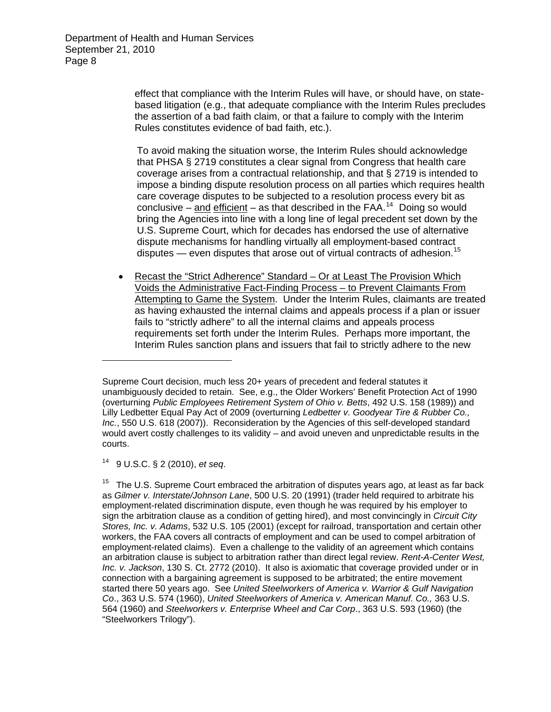> effect that compliance with the Interim Rules will have, or should have, on statebased litigation (e.g., that adequate compliance with the Interim Rules precludes the assertion of a bad faith claim, or that a failure to comply with the Interim Rules constitutes evidence of bad faith, etc.).

> To avoid making the situation worse, the Interim Rules should acknowledge that PHSA § 2719 constitutes a clear signal from Congress that health care coverage arises from a contractual relationship, and that § 2719 is intended to impose a binding dispute resolution process on all parties which requires health care coverage disputes to be subjected to a resolution process every bit as conclusive – and efficient – as that described in the FAA.<sup>[14](#page-7-0)</sup> Doing so would bring the Agencies into line with a long line of legal precedent set down by the U.S. Supreme Court, which for decades has endorsed the use of alternative dispute mechanisms for handling virtually all employment-based contract disputes — even disputes that arose out of virtual contracts of adhesion.<sup>[15](#page-7-1)</sup>

 Recast the "Strict Adherence" Standard – Or at Least The Provision Which Voids the Administrative Fact-Finding Process – to Prevent Claimants From Attempting to Game the System. Under the Interim Rules, claimants are treated as having exhausted the internal claims and appeals process if a plan or issuer fails to "strictly adhere" to all the internal claims and appeals process requirements set forth under the Interim Rules. Perhaps more important, the Interim Rules sanction plans and issuers that fail to strictly adhere to the new

<span id="page-7-0"></span>14 9 U.S.C. § 2 (2010), *et seq*.

Supreme Court decision, much less 20+ years of precedent and federal statutes it unambiguously decided to retain. See, e.g., the Older Workers' Benefit Protection Act of 1990 (overturning *Public Employees Retirement System of Ohio v. Betts*, 492 U.S. 158 (1989)) and Lilly Ledbetter Equal Pay Act of 2009 (overturning *Ledbetter v. Goodyear Tire & Rubber Co., Inc.*, 550 U.S. 618 (2007)). Reconsideration by the Agencies of this self-developed standard would avert costly challenges to its validity – and avoid uneven and unpredictable results in the courts.

<span id="page-7-1"></span> $15$  The U.S. Supreme Court embraced the arbitration of disputes years ago, at least as far back as *Gilmer v. Interstate/Johnson Lane*, 500 U.S. 20 (1991) (trader held required to arbitrate his employment-related discrimination dispute, even though he was required by his employer to sign the arbitration clause as a condition of getting hired), and most convincingly in *Circuit City Stores, Inc. v. Adams*, 532 U.S. 105 (2001) (except for railroad, transportation and certain other workers, the FAA covers all contracts of employment and can be used to compel arbitration of employment-related claims). Even a challenge to the validity of an agreement which contains an arbitration clause is subject to arbitration rather than direct legal review. *Rent-A-Center West, Inc. v. Jackson*, 130 S. Ct. 2772 (2010). It also is axiomatic that coverage provided under or in connection with a bargaining agreement is supposed to be arbitrated; the entire movement started there 50 years ago. See *United Steelworkers of America v. Warrior & Gulf Navigation Co*., 363 U.S. 574 (1960), *United Steelworkers of America v. American Manuf. Co.,* 363 U.S. 564 (1960) and *Steelworkers v. Enterprise Wheel and Car Corp*., 363 U.S. 593 (1960) (the "Steelworkers Trilogy").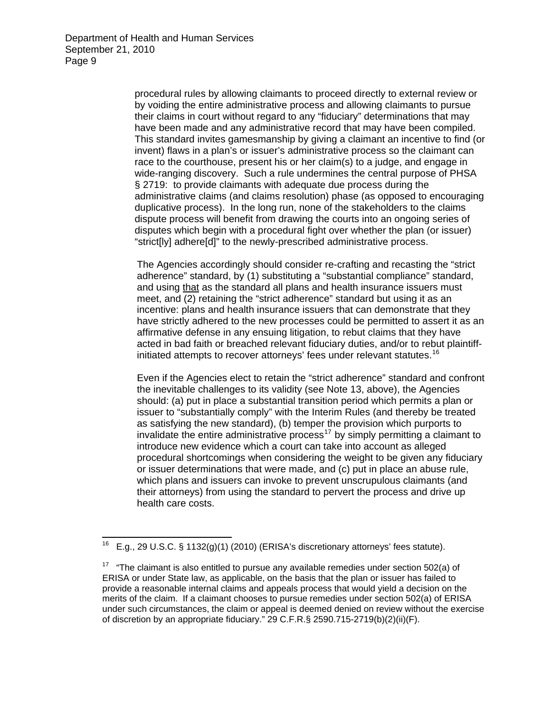procedural rules by allowing claimants to proceed directly to external review or by voiding the entire administrative process and allowing claimants to pursue their claims in court without regard to any "fiduciary" determinations that may have been made and any administrative record that may have been compiled. This standard invites gamesmanship by giving a claimant an incentive to find (or invent) flaws in a plan's or issuer's administrative process so the claimant can race to the courthouse, present his or her claim(s) to a judge, and engage in wide-ranging discovery. Such a rule undermines the central purpose of PHSA § 2719: to provide claimants with adequate due process during the administrative claims (and claims resolution) phase (as opposed to encouraging duplicative process). In the long run, none of the stakeholders to the claims dispute process will benefit from drawing the courts into an ongoing series of disputes which begin with a procedural fight over whether the plan (or issuer) "strict[ly] adhere[d]" to the newly-prescribed administrative process.

The Agencies accordingly should consider re-crafting and recasting the "strict adherence" standard, by (1) substituting a "substantial compliance" standard, and using that as the standard all plans and health insurance issuers must meet, and (2) retaining the "strict adherence" standard but using it as an incentive: plans and health insurance issuers that can demonstrate that they have strictly adhered to the new processes could be permitted to assert it as an affirmative defense in any ensuing litigation, to rebut claims that they have acted in bad faith or breached relevant fiduciary duties, and/or to rebut plaintiff-initiated attempts to recover attorneys' fees under relevant statutes.<sup>[16](#page-8-0)</sup>

Even if the Agencies elect to retain the "strict adherence" standard and confront the inevitable challenges to its validity (see Note 13, above), the Agencies should: (a) put in place a substantial transition period which permits a plan or issuer to "substantially comply" with the Interim Rules (and thereby be treated as satisfying the new standard), (b) temper the provision which purports to invalidate the entire administrative process<sup>[17](#page-8-1)</sup> by simply permitting a claimant to introduce new evidence which a court can take into account as alleged procedural shortcomings when considering the weight to be given any fiduciary or issuer determinations that were made, and (c) put in place an abuse rule, which plans and issuers can invoke to prevent unscrupulous claimants (and their attorneys) from using the standard to pervert the process and drive up health care costs.

<span id="page-8-0"></span> $\overline{a}$ 16 E.g., 29 U.S.C. § 1132(g)(1) (2010) (ERISA's discretionary attorneys' fees statute).

<span id="page-8-1"></span><sup>&</sup>lt;sup>17</sup> "The claimant is also entitled to pursue any available remedies under section 502(a) of ERISA or under State law, as applicable, on the basis that the plan or issuer has failed to provide a reasonable internal claims and appeals process that would yield a decision on the merits of the claim. If a claimant chooses to pursue remedies under section 502(a) of ERISA under such circumstances, the claim or appeal is deemed denied on review without the exercise of discretion by an appropriate fiduciary." 29 C.F.R.§ 2590.715-2719(b)(2)(ii)(F).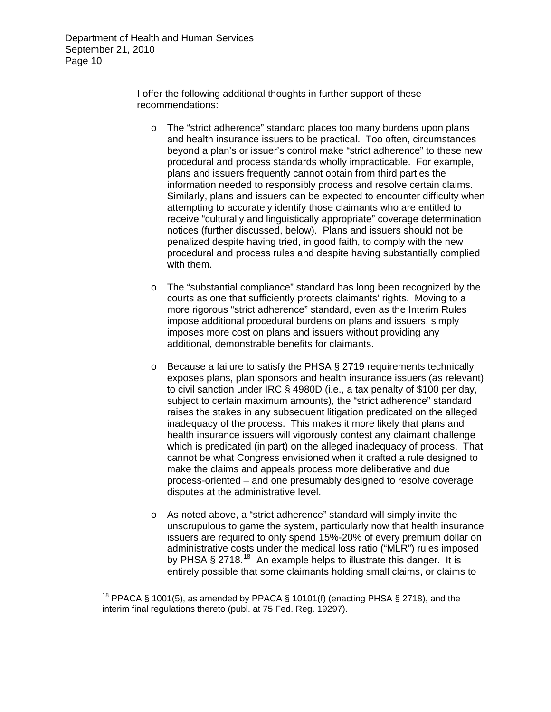I offer the following additional thoughts in further support of these recommendations:

- o The "strict adherence" standard places too many burdens upon plans and health insurance issuers to be practical. Too often, circumstances beyond a plan's or issuer's control make "strict adherence" to these new procedural and process standards wholly impracticable. For example, plans and issuers frequently cannot obtain from third parties the information needed to responsibly process and resolve certain claims. Similarly, plans and issuers can be expected to encounter difficulty when attempting to accurately identify those claimants who are entitled to receive "culturally and linguistically appropriate" coverage determination notices (further discussed, below). Plans and issuers should not be penalized despite having tried, in good faith, to comply with the new procedural and process rules and despite having substantially complied with them.
- o The "substantial compliance" standard has long been recognized by the courts as one that sufficiently protects claimants' rights. Moving to a more rigorous "strict adherence" standard, even as the Interim Rules impose additional procedural burdens on plans and issuers, simply imposes more cost on plans and issuers without providing any additional, demonstrable benefits for claimants.
- o Because a failure to satisfy the PHSA § 2719 requirements technically exposes plans, plan sponsors and health insurance issuers (as relevant) to civil sanction under IRC § 4980D (i.e., a tax penalty of \$100 per day, subject to certain maximum amounts), the "strict adherence" standard raises the stakes in any subsequent litigation predicated on the alleged inadequacy of the process. This makes it more likely that plans and health insurance issuers will vigorously contest any claimant challenge which is predicated (in part) on the alleged inadequacy of process. That cannot be what Congress envisioned when it crafted a rule designed to make the claims and appeals process more deliberative and due process-oriented – and one presumably designed to resolve coverage disputes at the administrative level.
- o As noted above, a "strict adherence" standard will simply invite the unscrupulous to game the system, particularly now that health insurance issuers are required to only spend 15%-20% of every premium dollar on administrative costs under the medical loss ratio ("MLR") rules imposed by PHSA § 27[18](#page-9-0).<sup>18</sup> An example helps to illustrate this danger. It is entirely possible that some claimants holding small claims, or claims to

<span id="page-9-0"></span><sup>&</sup>lt;sup>18</sup> PPACA § 1001(5), as amended by PPACA § 10101(f) (enacting PHSA § 2718), and the interim final regulations thereto (publ. at 75 Fed. Reg. 19297).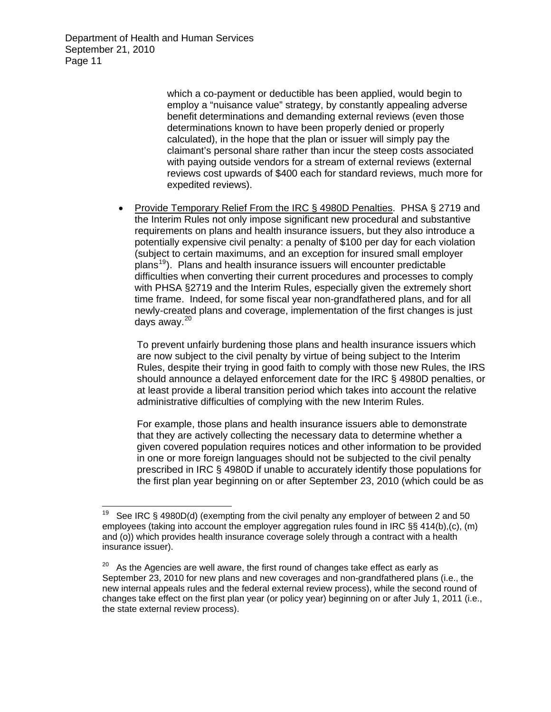> which a co-payment or deductible has been applied, would begin to employ a "nuisance value" strategy, by constantly appealing adverse benefit determinations and demanding external reviews (even those determinations known to have been properly denied or properly calculated), in the hope that the plan or issuer will simply pay the claimant's personal share rather than incur the steep costs associated with paying outside vendors for a stream of external reviews (external reviews cost upwards of \$400 each for standard reviews, much more for expedited reviews).

 Provide Temporary Relief From the IRC § 4980D Penalties. PHSA § 2719 and the Interim Rules not only impose significant new procedural and substantive requirements on plans and health insurance issuers, but they also introduce a potentially expensive civil penalty: a penalty of \$100 per day for each violation (subject to certain maximums, and an exception for insured small employer plans[19](#page-10-0)). Plans and health insurance issuers will encounter predictable difficulties when converting their current procedures and processes to comply with PHSA §2719 and the Interim Rules, especially given the extremely short time frame. Indeed, for some fiscal year non-grandfathered plans, and for all newly-created plans and coverage, implementation of the first changes is just days away. $20$ 

To prevent unfairly burdening those plans and health insurance issuers which are now subject to the civil penalty by virtue of being subject to the Interim Rules, despite their trying in good faith to comply with those new Rules, the IRS should announce a delayed enforcement date for the IRC § 4980D penalties, or at least provide a liberal transition period which takes into account the relative administrative difficulties of complying with the new Interim Rules.

For example, those plans and health insurance issuers able to demonstrate that they are actively collecting the necessary data to determine whether a given covered population requires notices and other information to be provided in one or more foreign languages should not be subjected to the civil penalty prescribed in IRC § 4980D if unable to accurately identify those populations for the first plan year beginning on or after September 23, 2010 (which could be as

<span id="page-10-0"></span> $19$ See IRC § 4980D(d) (exempting from the civil penalty any employer of between 2 and 50 employees (taking into account the employer aggregation rules found in IRC §§ 414(b),(c), (m) and (o)) which provides health insurance coverage solely through a contract with a health insurance issuer).

<span id="page-10-1"></span> $20$  As the Agencies are well aware, the first round of changes take effect as early as September 23, 2010 for new plans and new coverages and non-grandfathered plans (i.e., the new internal appeals rules and the federal external review process), while the second round of changes take effect on the first plan year (or policy year) beginning on or after July 1, 2011 (i.e., the state external review process).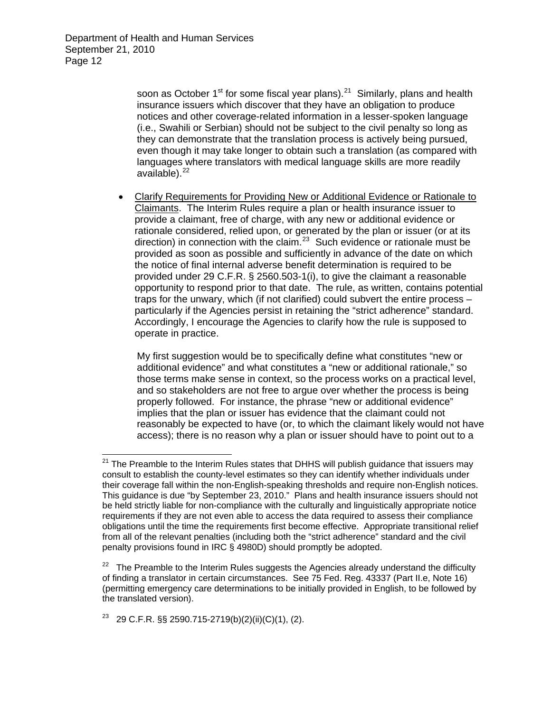> soon as October  $1^{st}$  for some fiscal year plans).<sup>[21](#page-11-0)</sup> Similarly, plans and health insurance issuers which discover that they have an obligation to produce notices and other coverage-related information in a lesser-spoken language (i.e., Swahili or Serbian) should not be subject to the civil penalty so long as they can demonstrate that the translation process is actively being pursued, even though it may take longer to obtain such a translation (as compared with languages where translators with medical language skills are more readily available).<sup>[22](#page-11-1)</sup>

 Clarify Requirements for Providing New or Additional Evidence or Rationale to Claimants. The Interim Rules require a plan or health insurance issuer to provide a claimant, free of charge, with any new or additional evidence or rationale considered, relied upon, or generated by the plan or issuer (or at its direction) in connection with the claim.[23](#page-11-2) Such evidence or rationale must be provided as soon as possible and sufficiently in advance of the date on which the notice of final internal adverse benefit determination is required to be provided under 29 C.F.R. § 2560.503-1(i), to give the claimant a reasonable opportunity to respond prior to that date. The rule, as written, contains potential traps for the unwary, which (if not clarified) could subvert the entire process – particularly if the Agencies persist in retaining the "strict adherence" standard. Accordingly, I encourage the Agencies to clarify how the rule is supposed to operate in practice.

My first suggestion would be to specifically define what constitutes "new or additional evidence" and what constitutes a "new or additional rationale," so those terms make sense in context, so the process works on a practical level, and so stakeholders are not free to argue over whether the process is being properly followed. For instance, the phrase "new or additional evidence" implies that the plan or issuer has evidence that the claimant could not reasonably be expected to have (or, to which the claimant likely would not have access); there is no reason why a plan or issuer should have to point out to a

<span id="page-11-2"></span><sup>23</sup> 29 C.F.R. §§ 2590.715-2719(b)(2)(ii)(C)(1), (2).

<span id="page-11-0"></span> $21$  The Preamble to the Interim Rules states that DHHS will publish guidance that issuers may consult to establish the county-level estimates so they can identify whether individuals under their coverage fall within the non-English-speaking thresholds and require non-English notices. This guidance is due "by September 23, 2010." Plans and health insurance issuers should not be held strictly liable for non-compliance with the culturally and linguistically appropriate notice requirements if they are not even able to access the data required to assess their compliance obligations until the time the requirements first become effective. Appropriate transitional relief from all of the relevant penalties (including both the "strict adherence" standard and the civil penalty provisions found in IRC § 4980D) should promptly be adopted.

<span id="page-11-1"></span> $22$  The Preamble to the Interim Rules suggests the Agencies already understand the difficulty of finding a translator in certain circumstances. See 75 Fed. Reg. 43337 (Part II.e, Note 16) (permitting emergency care determinations to be initially provided in English, to be followed by the translated version).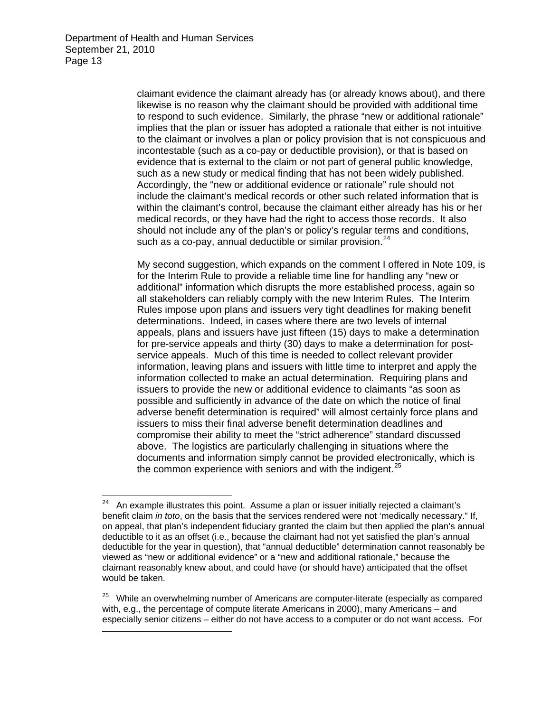$\overline{a}$ 

claimant evidence the claimant already has (or already knows about), and there likewise is no reason why the claimant should be provided with additional time to respond to such evidence. Similarly, the phrase "new or additional rationale" implies that the plan or issuer has adopted a rationale that either is not intuitive to the claimant or involves a plan or policy provision that is not conspicuous and incontestable (such as a co-pay or deductible provision), or that is based on evidence that is external to the claim or not part of general public knowledge, such as a new study or medical finding that has not been widely published. Accordingly, the "new or additional evidence or rationale" rule should not include the claimant's medical records or other such related information that is within the claimant's control, because the claimant either already has his or her medical records, or they have had the right to access those records. It also should not include any of the plan's or policy's regular terms and conditions, such as a co-pay, annual deductible or similar provision. $24$ 

My second suggestion, which expands on the comment I offered in Note 109, is for the Interim Rule to provide a reliable time line for handling any "new or additional" information which disrupts the more established process, again so all stakeholders can reliably comply with the new Interim Rules. The Interim Rules impose upon plans and issuers very tight deadlines for making benefit determinations. Indeed, in cases where there are two levels of internal appeals, plans and issuers have just fifteen (15) days to make a determination for pre-service appeals and thirty (30) days to make a determination for postservice appeals. Much of this time is needed to collect relevant provider information, leaving plans and issuers with little time to interpret and apply the information collected to make an actual determination. Requiring plans and issuers to provide the new or additional evidence to claimants "as soon as possible and sufficiently in advance of the date on which the notice of final adverse benefit determination is required" will almost certainly force plans and issuers to miss their final adverse benefit determination deadlines and compromise their ability to meet the "strict adherence" standard discussed above. The logistics are particularly challenging in situations where the documents and information simply cannot be provided electronically, which is the common experience with seniors and with the indigent. $25$ 

<span id="page-12-0"></span> $24$  An example illustrates this point. Assume a plan or issuer initially rejected a claimant's benefit claim *in toto*, on the basis that the services rendered were not 'medically necessary." If, on appeal, that plan's independent fiduciary granted the claim but then applied the plan's annual deductible to it as an offset (i.e., because the claimant had not yet satisfied the plan's annual deductible for the year in question), that "annual deductible" determination cannot reasonably be viewed as "new or additional evidence" or a "new and additional rationale," because the claimant reasonably knew about, and could have (or should have) anticipated that the offset would be taken.

<span id="page-12-1"></span> $25$  While an overwhelming number of Americans are computer-literate (especially as compared with, e.g., the percentage of compute literate Americans in 2000), many Americans – and especially senior citizens – either do not have access to a computer or do not want access. For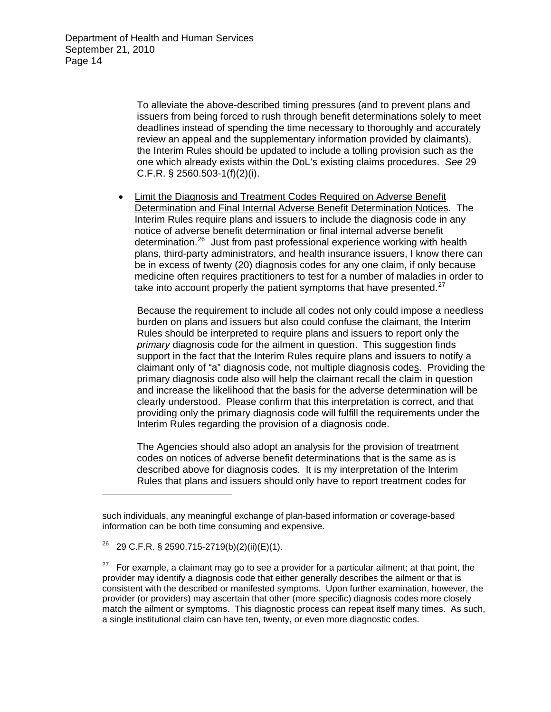To alleviate the above-described timing pressures (and to prevent plans and issuers from being forced to rush through benefit determinations solely to meet deadlines instead of spending the time necessary to thoroughly and accurately review an appeal and the supplementary information provided by claimants), the Interim Rules should be updated to include a tolling provision such as the one which already exists within the DoL's existing claims procedures. *See* 29 C.F.R. § 2560.503-1(f)(2)(i).

 Limit the Diagnosis and Treatment Codes Required on Adverse Benefit Determination and Final Internal Adverse Benefit Determination Notices. The Interim Rules require plans and issuers to include the diagnosis code in any notice of adverse benefit determination or final internal adverse benefit determination.[26](#page-13-0) Just from past professional experience working with health plans, third-party administrators, and health insurance issuers, I know there can be in excess of twenty (20) diagnosis codes for any one claim, if only because medicine often requires practitioners to test for a number of maladies in order to take into account properly the patient symptoms that have presented. $27$ 

Because the requirement to include all codes not only could impose a needless burden on plans and issuers but also could confuse the claimant, the Interim Rules should be interpreted to require plans and issuers to report only the *primary* diagnosis code for the ailment in question. This suggestion finds support in the fact that the Interim Rules require plans and issuers to notify a claimant only of "a" diagnosis code, not multiple diagnosis codes. Providing the primary diagnosis code also will help the claimant recall the claim in question and increase the likelihood that the basis for the adverse determination will be clearly understood. Please confirm that this interpretation is correct, and that providing only the primary diagnosis code will fulfill the requirements under the Interim Rules regarding the provision of a diagnosis code.

The Agencies should also adopt an analysis for the provision of treatment codes on notices of adverse benefit determinations that is the same as is described above for diagnosis codes. It is my interpretation of the Interim Rules that plans and issuers should only have to report treatment codes for

such individuals, any meaningful exchange of plan-based information or coverage-based information can be both time consuming and expensive.

<span id="page-13-0"></span> $^{26}$  29 C.F.R. § 2590.715-2719(b)(2)(ii)(E)(1).

<span id="page-13-1"></span><sup>&</sup>lt;sup>27</sup> For example, a claimant may go to see a provider for a particular ailment; at that point, the provider may identify a diagnosis code that either generally describes the ailment or that is consistent with the described or manifested symptoms. Upon further examination, however, the provider (or providers) may ascertain that other (more specific) diagnosis codes more closely match the ailment or symptoms. This diagnostic process can repeat itself many times. As such, a single institutional claim can have ten, twenty, or even more diagnostic codes.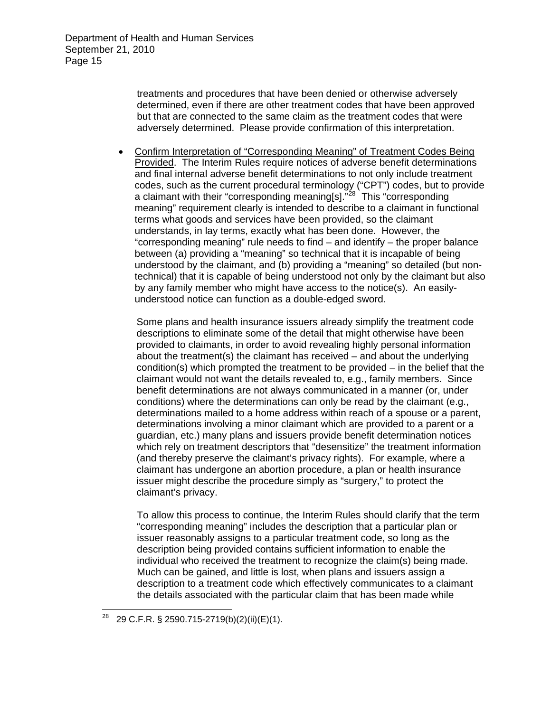treatments and procedures that have been denied or otherwise adversely determined, even if there are other treatment codes that have been approved but that are connected to the same claim as the treatment codes that were adversely determined. Please provide confirmation of this interpretation.

 Confirm Interpretation of "Corresponding Meaning" of Treatment Codes Being Provided. The Interim Rules require notices of adverse benefit determinations and final internal adverse benefit determinations to not only include treatment codes, such as the current procedural terminology ("CPT") codes, but to provide a claimant with their "corresponding meaning[s]. $^{28}$  $^{28}$  $^{28}$  This "corresponding meaning" requirement clearly is intended to describe to a claimant in functional terms what goods and services have been provided, so the claimant understands, in lay terms, exactly what has been done. However, the "corresponding meaning" rule needs to find – and identify – the proper balance between (a) providing a "meaning" so technical that it is incapable of being understood by the claimant, and (b) providing a "meaning" so detailed (but nontechnical) that it is capable of being understood not only by the claimant but also by any family member who might have access to the notice(s). An easilyunderstood notice can function as a double-edged sword.

Some plans and health insurance issuers already simplify the treatment code descriptions to eliminate some of the detail that might otherwise have been provided to claimants, in order to avoid revealing highly personal information about the treatment(s) the claimant has received – and about the underlying  $condition(s)$  which prompted the treatment to be provided – in the belief that the claimant would not want the details revealed to, e.g., family members. Since benefit determinations are not always communicated in a manner (or, under conditions) where the determinations can only be read by the claimant (e.g., determinations mailed to a home address within reach of a spouse or a parent, determinations involving a minor claimant which are provided to a parent or a guardian, etc.) many plans and issuers provide benefit determination notices which rely on treatment descriptors that "desensitize" the treatment information (and thereby preserve the claimant's privacy rights). For example, where a claimant has undergone an abortion procedure, a plan or health insurance issuer might describe the procedure simply as "surgery," to protect the claimant's privacy.

To allow this process to continue, the Interim Rules should clarify that the term "corresponding meaning" includes the description that a particular plan or issuer reasonably assigns to a particular treatment code, so long as the description being provided contains sufficient information to enable the individual who received the treatment to recognize the claim(s) being made. Much can be gained, and little is lost, when plans and issuers assign a description to a treatment code which effectively communicates to a claimant the details associated with the particular claim that has been made while

<span id="page-14-0"></span> $^{28}$  29 C.F.R. § 2590.715-2719(b)(2)(ii)(E)(1).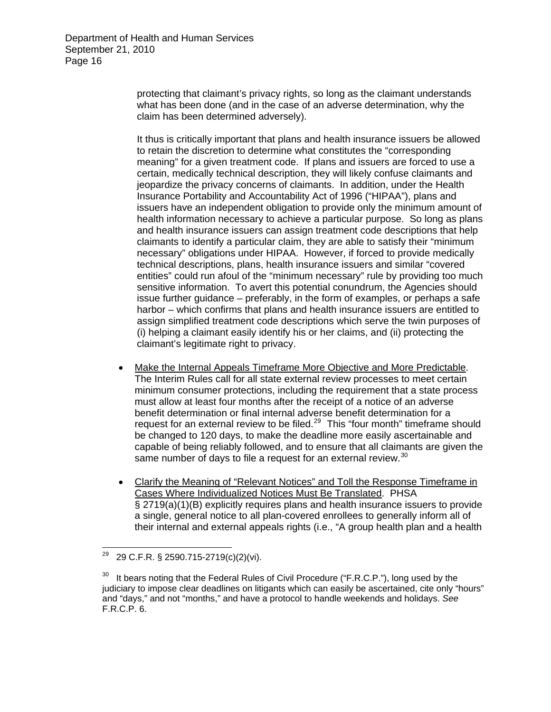protecting that claimant's privacy rights, so long as the claimant understands what has been done (and in the case of an adverse determination, why the claim has been determined adversely).

It thus is critically important that plans and health insurance issuers be allowed to retain the discretion to determine what constitutes the "corresponding meaning" for a given treatment code. If plans and issuers are forced to use a certain, medically technical description, they will likely confuse claimants and jeopardize the privacy concerns of claimants. In addition, under the Health Insurance Portability and Accountability Act of 1996 ("HIPAA"), plans and issuers have an independent obligation to provide only the minimum amount of health information necessary to achieve a particular purpose. So long as plans and health insurance issuers can assign treatment code descriptions that help claimants to identify a particular claim, they are able to satisfy their "minimum necessary" obligations under HIPAA. However, if forced to provide medically technical descriptions, plans, health insurance issuers and similar "covered entities" could run afoul of the "minimum necessary" rule by providing too much sensitive information. To avert this potential conundrum, the Agencies should issue further guidance – preferably, in the form of examples, or perhaps a safe harbor – which confirms that plans and health insurance issuers are entitled to assign simplified treatment code descriptions which serve the twin purposes of (i) helping a claimant easily identify his or her claims, and (ii) protecting the claimant's legitimate right to privacy.

- Make the Internal Appeals Timeframe More Objective and More Predictable. The Interim Rules call for all state external review processes to meet certain minimum consumer protections, including the requirement that a state process must allow at least four months after the receipt of a notice of an adverse benefit determination or final internal adverse benefit determination for a request for an external review to be filed. $29$  This "four month" timeframe should be changed to 120 days, to make the deadline more easily ascertainable and capable of being reliably followed, and to ensure that all claimants are given the same number of days to file a request for an external review.<sup>[30](#page-15-1)</sup>
- Clarify the Meaning of "Relevant Notices" and Toll the Response Timeframe in Cases Where Individualized Notices Must Be Translated. PHSA § 2719(a)(1)(B) explicitly requires plans and health insurance issuers to provide a single, general notice to all plan-covered enrollees to generally inform all of their internal and external appeals rights (i.e., "A group health plan and a health

<span id="page-15-0"></span><sup>29</sup> 29 29 C.F.R. § 2590.715-2719(c)(2)(vi).

<span id="page-15-1"></span> $30$  It bears noting that the Federal Rules of Civil Procedure ("F.R.C.P."), long used by the judiciary to impose clear deadlines on litigants which can easily be ascertained, cite only "hours" and "days," and not "months," and have a protocol to handle weekends and holidays. *See* F.R.C.P. 6.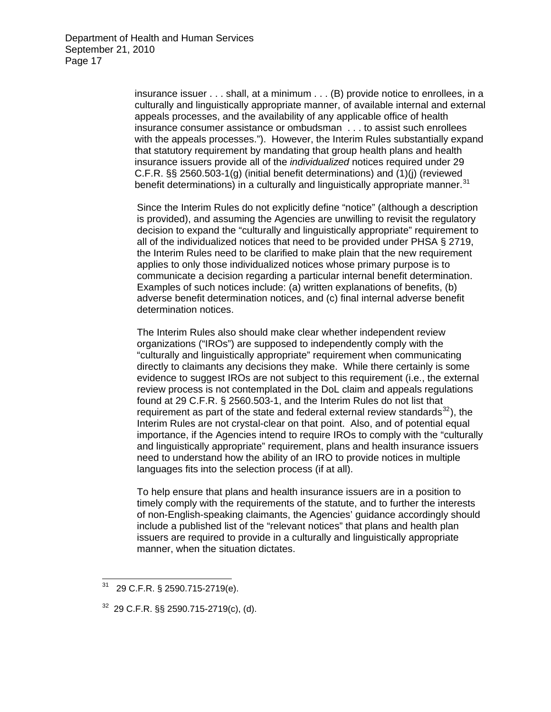insurance issuer . . . shall, at a minimum . . . (B) provide notice to enrollees, in a culturally and linguistically appropriate manner, of available internal and external appeals processes, and the availability of any applicable office of health insurance consumer assistance or ombudsman . . . to assist such enrollees with the appeals processes."). However, the Interim Rules substantially expand that statutory requirement by mandating that group health plans and health insurance issuers provide all of the *individualized* notices required under 29 C.F.R. §§ 2560.503-1(g) (initial benefit determinations) and (1)(j) (reviewed benefit determinations) in a culturally and linguistically appropriate manner.<sup>31</sup>

Since the Interim Rules do not explicitly define "notice" (although a description is provided), and assuming the Agencies are unwilling to revisit the regulatory decision to expand the "culturally and linguistically appropriate" requirement to all of the individualized notices that need to be provided under PHSA § 2719, the Interim Rules need to be clarified to make plain that the new requirement applies to only those individualized notices whose primary purpose is to communicate a decision regarding a particular internal benefit determination. Examples of such notices include: (a) written explanations of benefits, (b) adverse benefit determination notices, and (c) final internal adverse benefit determination notices.

The Interim Rules also should make clear whether independent review organizations ("IROs") are supposed to independently comply with the "culturally and linguistically appropriate" requirement when communicating directly to claimants any decisions they make. While there certainly is some evidence to suggest IROs are not subject to this requirement (i.e., the external review process is not contemplated in the DoL claim and appeals regulations found at 29 C.F.R. § 2560.503-1, and the Interim Rules do not list that requirement as part of the state and federal external review standards $32$ ), the Interim Rules are not crystal-clear on that point. Also, and of potential equal importance, if the Agencies intend to require IROs to comply with the "culturally and linguistically appropriate" requirement, plans and health insurance issuers need to understand how the ability of an IRO to provide notices in multiple languages fits into the selection process (if at all).

To help ensure that plans and health insurance issuers are in a position to timely comply with the requirements of the statute, and to further the interests of non-English-speaking claimants, the Agencies' guidance accordingly should include a published list of the "relevant notices" that plans and health plan issuers are required to provide in a culturally and linguistically appropriate manner, when the situation dictates.

  $31$  29 C.F.R. § 2590.715-2719(e).

<span id="page-16-0"></span><sup>32 29</sup> C.F.R. §§ 2590.715-2719(c), (d).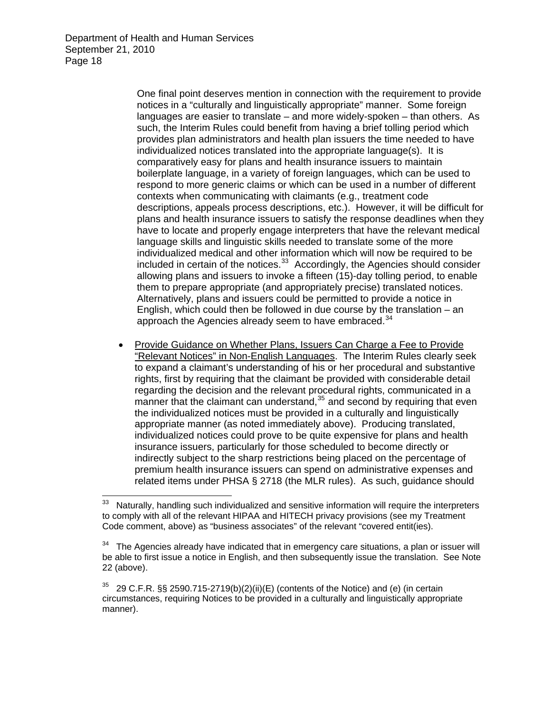One final point deserves mention in connection with the requirement to provide notices in a "culturally and linguistically appropriate" manner. Some foreign languages are easier to translate – and more widely-spoken – than others. As such, the Interim Rules could benefit from having a brief tolling period which provides plan administrators and health plan issuers the time needed to have individualized notices translated into the appropriate language(s). It is comparatively easy for plans and health insurance issuers to maintain boilerplate language, in a variety of foreign languages, which can be used to respond to more generic claims or which can be used in a number of different contexts when communicating with claimants (e.g., treatment code descriptions, appeals process descriptions, etc.). However, it will be difficult for plans and health insurance issuers to satisfy the response deadlines when they have to locate and properly engage interpreters that have the relevant medical language skills and linguistic skills needed to translate some of the more individualized medical and other information which will now be required to be included in certain of the notices. $33$  Accordingly, the Agencies should consider allowing plans and issuers to invoke a fifteen (15)-day tolling period, to enable them to prepare appropriate (and appropriately precise) translated notices. Alternatively, plans and issuers could be permitted to provide a notice in English, which could then be followed in due course by the translation – an approach the Agencies already seem to have embraced.<sup>[34](#page-17-1)</sup>

 Provide Guidance on Whether Plans, Issuers Can Charge a Fee to Provide "Relevant Notices" in Non-English Languages. The Interim Rules clearly seek to expand a claimant's understanding of his or her procedural and substantive rights, first by requiring that the claimant be provided with considerable detail regarding the decision and the relevant procedural rights, communicated in a manner that the claimant can understand, $35$  and second by requiring that even the individualized notices must be provided in a culturally and linguistically appropriate manner (as noted immediately above). Producing translated, individualized notices could prove to be quite expensive for plans and health insurance issuers, particularly for those scheduled to become directly or indirectly subject to the sharp restrictions being placed on the percentage of premium health insurance issuers can spend on administrative expenses and related items under PHSA § 2718 (the MLR rules). As such, guidance should

<span id="page-17-0"></span><sup>33</sup> Naturally, handling such individualized and sensitive information will require the interpreters to comply with all of the relevant HIPAA and HITECH privacy provisions (see my Treatment Code comment, above) as "business associates" of the relevant "covered entit(ies).

<span id="page-17-1"></span>The Agencies already have indicated that in emergency care situations, a plan or issuer will be able to first issue a notice in English, and then subsequently issue the translation. See Note 22 (above).

<span id="page-17-2"></span><sup>35 29</sup> C.F.R. §§ 2590.715-2719(b)(2)(ii)(E) (contents of the Notice) and (e) (in certain circumstances, requiring Notices to be provided in a culturally and linguistically appropriate manner).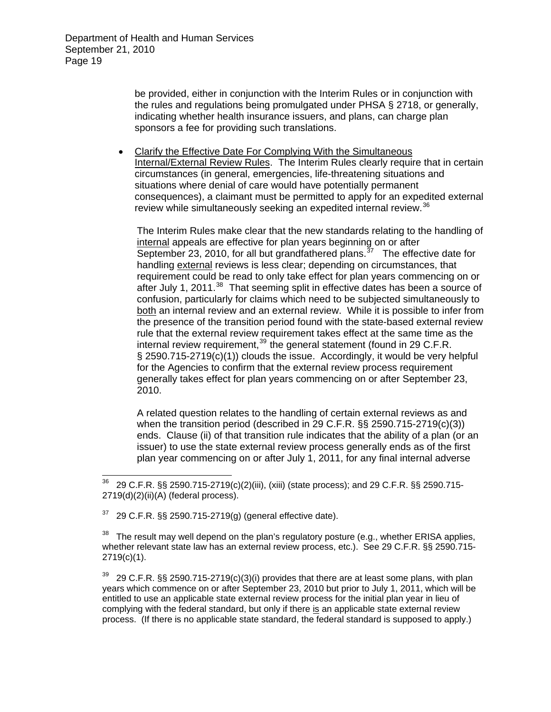be provided, either in conjunction with the Interim Rules or in conjunction with the rules and regulations being promulgated under PHSA § 2718, or generally, indicating whether health insurance issuers, and plans, can charge plan sponsors a fee for providing such translations.

 Clarify the Effective Date For Complying With the Simultaneous Internal/External Review Rules. The Interim Rules clearly require that in certain circumstances (in general, emergencies, life-threatening situations and situations where denial of care would have potentially permanent consequences), a claimant must be permitted to apply for an expedited external review while simultaneously seeking an expedited internal review.<sup>[36](#page-18-0)</sup>

The Interim Rules make clear that the new standards relating to the handling of internal appeals are effective for plan years beginning on or after  $\overline{\text{September}}$  23, 2010, for all but grandfathered plans.  $\frac{37}{7}$  $\frac{37}{7}$  $\frac{37}{7}$  The effective date for handling external reviews is less clear; depending on circumstances, that requirement could be read to only take effect for plan years commencing on or after July 1, 2011.<sup>[38](#page-18-2)</sup> That seeming split in effective dates has been a source of confusion, particularly for claims which need to be subjected simultaneously to both an internal review and an external review. While it is possible to infer from the presence of the transition period found with the state-based external review rule that the external review requirement takes effect at the same time as the internal review requirement,  $39$  the general statement (found in 29 C.F.R. § 2590.715-2719(c)(1)) clouds the issue. Accordingly, it would be very helpful for the Agencies to confirm that the external review process requirement generally takes effect for plan years commencing on or after September 23, 2010.

A related question relates to the handling of certain external reviews as and when the transition period (described in 29 C.F.R. §§ 2590.715-2719(c)(3)) ends. Clause (ii) of that transition rule indicates that the ability of a plan (or an issuer) to use the state external review process generally ends as of the first plan year commencing on or after July 1, 2011, for any final internal adverse

<span id="page-18-1"></span> $37$  29 C.F.R. §§ 2590.715-2719(g) (general effective date).

 $\overline{a}$ 

<span id="page-18-2"></span>The result may well depend on the plan's regulatory posture (e.g., whether ERISA applies, whether relevant state law has an external review process, etc.). See 29 C.F.R. §§ 2590.715- 2719(c)(1).

<span id="page-18-3"></span> $39$  29 C.F.R. §§ 2590.715-2719(c)(3)(i) provides that there are at least some plans, with plan years which commence on or after September 23, 2010 but prior to July 1, 2011, which will be entitled to use an applicable state external review process for the initial plan year in lieu of complying with the federal standard, but only if there is an applicable state external review process. (If there is no applicable state standard, the federal standard is supposed to apply.)

<span id="page-18-0"></span><sup>36 29</sup> C.F.R. §§ 2590.715-2719(c)(2)(iii), (xiii) (state process); and 29 C.F.R. §§ 2590.715- 2719(d)(2)(ii)(A) (federal process).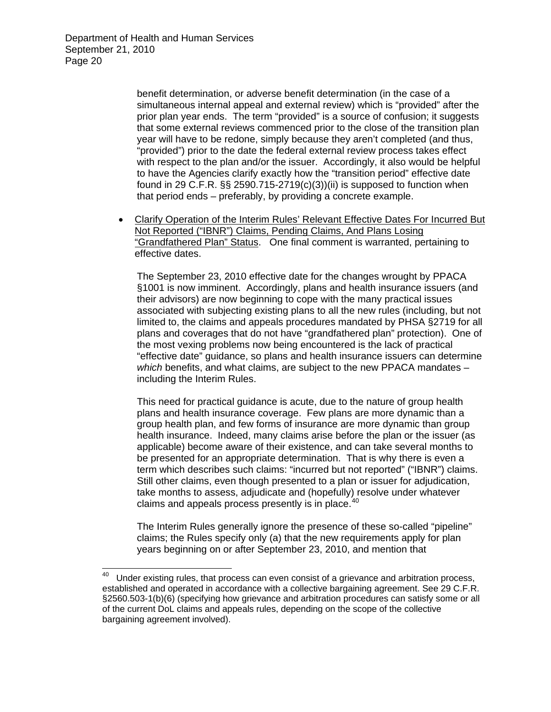> benefit determination, or adverse benefit determination (in the case of a simultaneous internal appeal and external review) which is "provided" after the prior plan year ends. The term "provided" is a source of confusion; it suggests that some external reviews commenced prior to the close of the transition plan year will have to be redone, simply because they aren't completed (and thus, "provided") prior to the date the federal external review process takes effect with respect to the plan and/or the issuer. Accordingly, it also would be helpful to have the Agencies clarify exactly how the "transition period" effective date found in 29 C.F.R.  $\S$  2590.715-2719(c)(3))(ii) is supposed to function when that period ends – preferably, by providing a concrete example.

 Clarify Operation of the Interim Rules' Relevant Effective Dates For Incurred But Not Reported ("IBNR") Claims, Pending Claims, And Plans Losing "Grandfathered Plan" Status. One final comment is warranted, pertaining to effective dates.

The September 23, 2010 effective date for the changes wrought by PPACA §1001 is now imminent. Accordingly, plans and health insurance issuers (and their advisors) are now beginning to cope with the many practical issues associated with subjecting existing plans to all the new rules (including, but not limited to, the claims and appeals procedures mandated by PHSA §2719 for all plans and coverages that do not have "grandfathered plan" protection). One of the most vexing problems now being encountered is the lack of practical "effective date" guidance, so plans and health insurance issuers can determine *which* benefits, and what claims, are subject to the new PPACA mandates – including the Interim Rules.

This need for practical guidance is acute, due to the nature of group health plans and health insurance coverage. Few plans are more dynamic than a group health plan, and few forms of insurance are more dynamic than group health insurance. Indeed, many claims arise before the plan or the issuer (as applicable) become aware of their existence, and can take several months to be presented for an appropriate determination. That is why there is even a term which describes such claims: "incurred but not reported" ("IBNR") claims. Still other claims, even though presented to a plan or issuer for adjudication, take months to assess, adjudicate and (hopefully) resolve under whatever claims and appeals process presently is in place. $40$ 

The Interim Rules generally ignore the presence of these so-called "pipeline" claims; the Rules specify only (a) that the new requirements apply for plan years beginning on or after September 23, 2010, and mention that

<span id="page-19-0"></span><sup>40</sup> Under existing rules, that process can even consist of a grievance and arbitration process, established and operated in accordance with a collective bargaining agreement. See 29 C.F.R. §2560.503-1(b)(6) (specifying how grievance and arbitration procedures can satisfy some or all of the current DoL claims and appeals rules, depending on the scope of the collective bargaining agreement involved).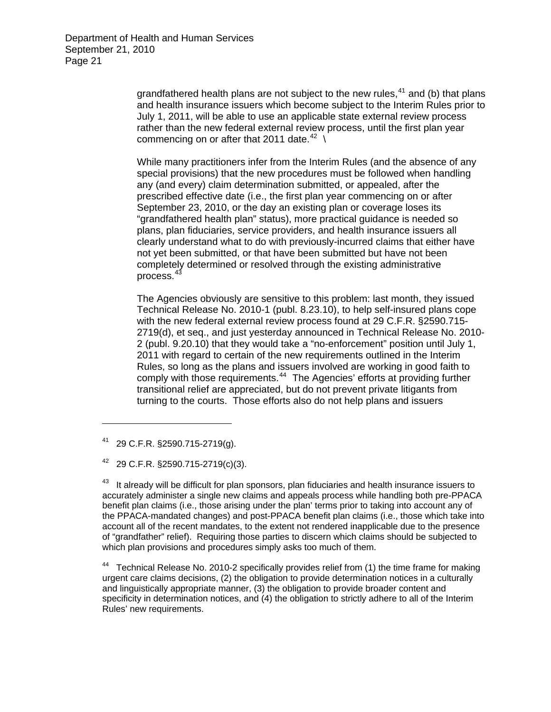> grandfathered health plans are not subject to the new rules, $41$  and (b) that plans and health insurance issuers which become subject to the Interim Rules prior to July 1, 2011, will be able to use an applicable state external review process rather than the new federal external review process, until the first plan year commencing on or after that 2011 date.<sup>[42](#page-20-1)</sup> \

While many practitioners infer from the Interim Rules (and the absence of any special provisions) that the new procedures must be followed when handling any (and every) claim determination submitted, or appealed, after the prescribed effective date (i.e., the first plan year commencing on or after September 23, 2010, or the day an existing plan or coverage loses its "grandfathered health plan" status), more practical guidance is needed so plans, plan fiduciaries, service providers, and health insurance issuers all clearly understand what to do with previously-incurred claims that either have not yet been submitted, or that have been submitted but have not been completely determined or resolved through the existing administrative process.[43](#page-20-2)

The Agencies obviously are sensitive to this problem: last month, they issued Technical Release No. 2010-1 (publ. 8.23.10), to help self-insured plans cope with the new federal external review process found at 29 C.F.R. §2590.715- 2719(d), et seq., and just yesterday announced in Technical Release No. 2010- 2 (publ. 9.20.10) that they would take a "no-enforcement" position until July 1, 2011 with regard to certain of the new requirements outlined in the Interim Rules, so long as the plans and issuers involved are working in good faith to comply with those requirements.<sup>[44](#page-20-3)</sup> The Agencies' efforts at providing further transitional relief are appreciated, but do not prevent private litigants from turning to the courts. Those efforts also do not help plans and issuers

<span id="page-20-0"></span>41 29 C.F.R. §2590.715-2719(g).

<span id="page-20-1"></span>42 29 C.F.R. §2590.715-2719(c)(3).

<span id="page-20-2"></span><sup>43</sup> It already will be difficult for plan sponsors, plan fiduciaries and health insurance issuers to accurately administer a single new claims and appeals process while handling both pre-PPACA benefit plan claims (i.e., those arising under the plan' terms prior to taking into account any of the PPACA-mandated changes) and post-PPACA benefit plan claims (i.e., those which take into account all of the recent mandates, to the extent not rendered inapplicable due to the presence of "grandfather" relief). Requiring those parties to discern which claims should be subjected to which plan provisions and procedures simply asks too much of them.

<span id="page-20-3"></span><sup>44</sup> Technical Release No. 2010-2 specifically provides relief from (1) the time frame for making urgent care claims decisions, (2) the obligation to provide determination notices in a culturally and linguistically appropriate manner, (3) the obligation to provide broader content and specificity in determination notices, and (4) the obligation to strictly adhere to all of the Interim Rules' new requirements.